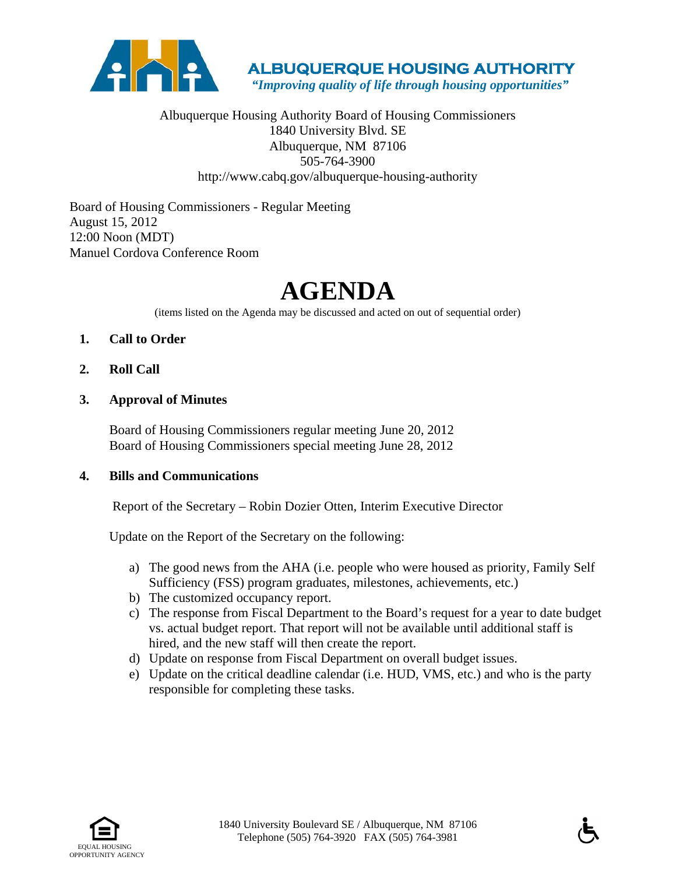

 **ALBUQUERQUE HOUSING AUTHORITY** 

 *"Improving quality of life through housing opportunities"*

# Albuquerque Housing Authority Board of Housing Commissioners 1840 University Blvd. SE Albuquerque, NM 87106 505-764-3900 http://www.cabq.gov/albuquerque-housing-authority

Board of Housing Commissioners - Regular Meeting August 15, 2012 12:00 Noon (MDT) Manuel Cordova Conference Room

# **AGENDA**

(items listed on the Agenda may be discussed and acted on out of sequential order)

- **1. Call to Order**
- **2. Roll Call**
- **3. Approval of Minutes**

Board of Housing Commissioners regular meeting June 20, 2012 Board of Housing Commissioners special meeting June 28, 2012

#### **4. Bills and Communications**

Report of the Secretary – Robin Dozier Otten, Interim Executive Director

Update on the Report of the Secretary on the following:

- a) The good news from the AHA (i.e. people who were housed as priority, Family Self Sufficiency (FSS) program graduates, milestones, achievements, etc.)
- b) The customized occupancy report.
- c) The response from Fiscal Department to the Board's request for a year to date budget vs. actual budget report. That report will not be available until additional staff is hired, and the new staff will then create the report.
- d) Update on response from Fiscal Department on overall budget issues.
- e) Update on the critical deadline calendar (i.e. HUD, VMS, etc.) and who is the party responsible for completing these tasks.